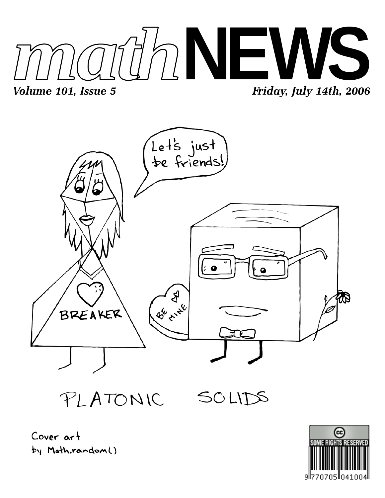



PLATONIC

SOLIDS



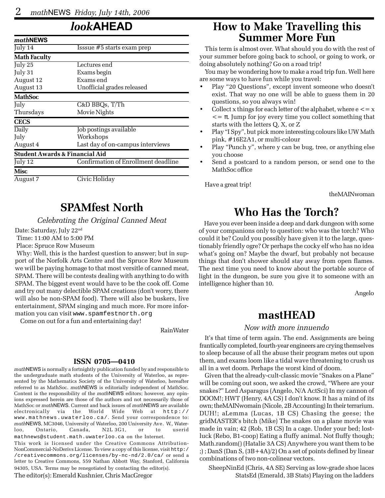## *look***AHEAD**

| mathNEWS                                  |                                     |
|-------------------------------------------|-------------------------------------|
| July 14                                   | Isssue #5 starts exam prep          |
| <b>Math Faculty</b>                       |                                     |
| July $25$                                 | Lectures end                        |
| July 31                                   | Exams begin                         |
| August 12                                 | Exams end                           |
| August 13                                 | Unofficial grades released          |
| <b>MathSoc</b>                            |                                     |
| July                                      | C&D BBQs, T/Th                      |
| Thursdays                                 | Movie Nights                        |
| <b>CECS</b>                               |                                     |
| Daily                                     | Job postings available              |
| July                                      | Workshops                           |
| August 4                                  | Last day of on-campus interviews    |
| <b>Student Awards &amp; Financial Aid</b> |                                     |
| July 12                                   | Confirmation of Enrollment deadline |
| Misc                                      |                                     |
| August 7                                  | Civic Holiday                       |

### **SPAMfest North**

*Celebrating the Original Canned Meat*

Date: Saturday, July 22nd

Time: 11:00 AM to 5:00 PM

Place: Spruce Row Museum

 Why: Well, this is the hardest question to answer; but in support of the Norfolk Arts Centre and the Spruce Row Museum we will be paying homage to that most versitle of canned meat, SPAM. There will be contests dealing with anything to do with SPAM. The biggest event would have to be the cook off. Come and try out many delectible SPAM creations (don't worry, there will also be non-SPAM food). There will also be buskers, live entertainment, SPAM singing and much more. For more information you can visit www.spamfestnorth.org

Come on out for a fun and entertaining day!

RainWater

#### **ISSN 0705—0410**

*math*NEWS is normally a fortnightly publication funded by and responsible to the undergraduate math students of the University of Waterloo, as represented by the Mathematics Society of the University of Waterloo, hereafter referred to as MathSoc. *math*NEWS is editorially independent of MathSoc. Content is the responsibility of the *math*NEWS editors; however, any opinions expressed herein are those of the authors and not necessarily those of MathSoc or *math*NEWS. Current and back issues of *math*NEWS are available electronically via the World Wide Web at http:// www.mathnews.uwaterloo.ca/. Send your correspondence to: *math*NEWS, MC3046, University of Waterloo, 200 University Ave. W., Waterloo, Ontario, Canada, N2L 3G1, or to userid mathnews@student.math.uwaterloo.ca on the Internet.

This work is licensed under the Creative Commons Attribution-NonCommercial-NoDerivs License. To view a copy of this license, visit http:/ /creativecommons.org/licenses/by-nc-nd/2.0/ca/ or send a letter to Creative Commons, 559 Nathan Abbott Way, Stanford, California 94305, USA. Terms may be renegotiated by contacting the editor(s).

The editor(s): Emerald Kushnier, Chris MacGregor

### **How to Make Travelling this Summer More Fun**

This term is almost over. What should you do with the rest of your summer before going back to school, or going to work, or doing absolutely nothing? Go on a road trip!

You may be wondering how to make a road trip fun. Well here are some ways to have fun while you travel:

- Play "20 Questions", except invent someone who doesn't exist. That way no one will be able to guess them in 20 questions, so you always win!
- Collect x things for each letter of the alphabet, where  $e \leq x$  $\epsilon = \pi$ . Jump for joy every time you collect something that starts with the letters Q, X, or Z
- Play "I Spy", but pick more interesting colours like UW Math pink, #16E2A1, or multi-colour
- Play "Punch y", where y can be bug, tree, or anything else you choose
- Send a postcard to a random person, or send one to the MathSoc office

Have a great trip!

theMAINwoman

## **Who Has the Torch?**

Have you ever been inside a deep and dark dungeon with some of your companions only to question: who was the torch? Who could it be? Could you possibly have given it to the large, questionably friendly ogre? Or perhaps the cocky elf who has no idea what's going on? Maybe the dwarf, but probably not because things that don't shower should stay away from open flames. The next time you need to know about the portable source of light in the dungeon, be sure you give it to someone with an intelligence higher than 10.

Angelo

### **mastHEAD**

#### *Now with more innuendo*

It's that time of term again. The end. Assignments are being frantically completed, fourth-year engineers are crying themselves to sleep because of all the abuse their program metes out upon them, and exams loom like a tidal wave threatening to crush us all in a wet doom. Perhaps the worst kind of doom.

Given that the already-cult-classic movie "Snakes on a Plane" will be coming out soon, we asked the crowd, "Where are your snakes?" Lord Asparagus (Angelo, N/A ActSci) In my cannon of DOOM!; HWT (Henry, 4A CS) I don't know. It has a mind of its own; theMAINwomain (Nicole, 2B Accounting) In their terrarium. DUH!; aLemma (Lucas, 1B CS) Chasing the geese; the gridMASTER's bitch (Mike) The snakes on a plane movie was made in vain; 42 (Rob, 1B CS) In a cage. Under your bed; lostluck (Rebo, B1-coop) Eating a fluffy animal. Not fluffy though; Math.random() (Hatalie 3A CS) Anywhere you want them to be ;) ; DanS (Dan S, (3B+4A)/2) On a set of points defined by linear combinations of two non-colinear vectors.

SheepNinEd (Chris, 4A SE) Serving as low-grade shoe laces StatsEd (Emerald, 3B Stats) Playing on the ladders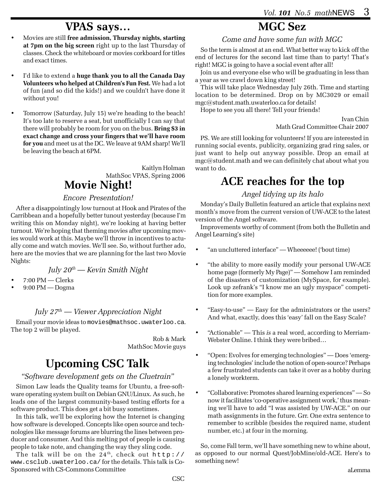### **VPAS says…**

- Movies are still **free admission, Thursday nights, starting at 7pm on the big screen** right up to the last Thursday of classes. Check the whiteboard or movies corkboard for titles and exact times.
- I'd like to extend a **huge thank you to all the Canada Day Volunteers who helped at Children's Fun Fest.** We had a lot of fun (and so did the kids!) and we couldn't have done it without you!
- Tomorrow (Saturday, July 15) we're heading to the beach! It's too late to reserve a seat, but unofficially I can say that there will probably be room for you on the bus. **Bring \$3 in exact change and cross your fingers that we'll have room for you** and meet us at the DC. We leave at 9AM sharp! We'll be leaving the beach at 6PM.

#### Kaitlyn Holman MathSoc VPAS, Spring 2006 **Movie Night!**

#### *Encore Presentation!*

After a disappointingly low turnout at Hook and Pirates of the Carribbean and a hopefully better tunout yesterday (because I'm writing this on Monday night), we're looking at having better turnout. We're hoping that theming movies after upcoming movies would work at this. Maybe we'll throw in incentives to actually come and watch movies. We'll see. So, without further ado, here are the movies that we are planning for the last two Movie Nights:

### *July 20th — Kevin Smith Night*

- 7:00 PM Clerks
- 9:00 PM Dogma

### *July 27th — Viewer Appreciation Night*

Email your movie ideas to movies@mathsoc.uwaterloo.ca. The top 2 will be played.

> Rob & Mark MathSoc Movie guys

# **Upcoming CSC Talk**

#### *"Software development gets on the Cluetrain"*

Simon Law leads the Quality teams for Ubuntu, a free-software operating system built on Debian GNU/Linux. As such, he leads one of the largest community-based testing efforts for a software product. This does get a bit busy sometimes.

In this talk, we'll be exploring how the Internet is changing how software is developed. Concepts like open source and technologies like message forums are blurring the lines between producer and consumer. And this melting pot of people is causing people to take note, and changing the way they sling code.

The talk will be on the  $24<sup>th</sup>$ , check out http:// www.csclub.uwaterloo.ca/ for the details. This talk is Co-Sponsored with CS-Commons Committee

# **MGC Sez**

*Come and have some fun with MGC*

So the term is almost at an end. What better way to kick off the end of lectures for the second last time than to party! That's right! MGC is going to have a social event after all!

Join us and everyone else who will be graduating in less than a year as we crawl down king street!

This will take place Wednesday July 26th. Time and starting location to be determined. Drop on by MC3029 or email mgc@student.math.uwaterloo.ca for details!

Hope to see you all there! Tell your friends!

Ivan Chin Math Grad Committee Chair 2007

PS. We are still looking for volunteers! If you are interested in running social events, publicity, organizing grad ring sales, or just want to help out anyway possible. Drop an email at mgc@student.math and we can definitely chat about what you want to do.

## **ACE reaches for the top**

#### *Angel tidying up its halo*

Monday's Daily Bulletin featured an article that explains next month's move from the current version of UW-ACE to the latest version of the Angel software.

Improvements worthy of comment (from both the Bulletin and Angel Learning's site)

- "an uncluttered interface" Wheeeeee! ('bout time)
- "the ability to more easily modify your personal UW-ACE home page (formerly My Page)" — Somehow I am reminded of the disasters of customization (MySpace, for example). Look up zefrank's "I know me an ugly myspace" competition for more examples.
- "Easy-to-use" Easy for the administrators or the users? And what, exactly, does this 'easy' fall on the Easy Scale?
- "Actionable" This *is* a real word, according to Merriam-Webster Online. I think they were bribed…
- "Open: Evolves for emerging technologies" Does 'emerging technologies' include the notion of open-source? Perhaps a few frustrated students can take it over as a hobby during a lonely workterm.
- "Collaborative: Promotes shared learning experiences" So now it facilitates 'co-operative assignment work,' thus meaning we'll have to add "I was assisted by UW-ACE." on our math assignments in the future. Grr. One extra sentence to remember to scribble (besides the required name, student number, etc.) at four in the morning.

So, come Fall term, we'll have something new to whine about, as opposed to our normal Quest/JobMine/old-ACE. Here's to something new!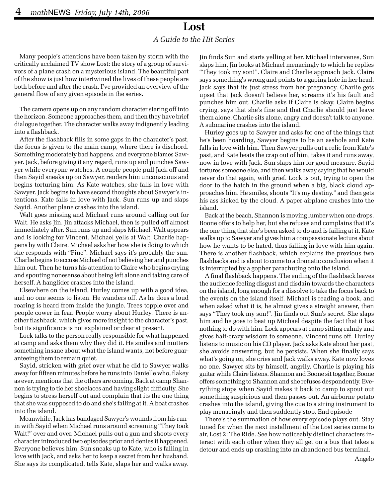### **Lost**

#### *A Guide to the Hit Series*

Many people's attentions have been taken by storm with the critically acclaimed TV show Lost: the story of a group of survivors of a plane crash on a mysterious island. The beautiful part of the show is just how intertwined the lives of these people are both before and after the crash. I've provided an overview of the general flow of any given episode in the series.

The camera opens up on any random character staring off into the horizon. Someone approaches them, and then they have brief dialogue together. The character walks away indignently leading into a flashback.

After the flashback fills in some gaps in the character's past, the focus is given to the main camp, where there is dischord. Something moderately bad happens, and everyone blames Sawyer. Jack, before giving it any regard, runs up and punches Sawyer while everyone watches. A couple people pull Jack off and then Sayid sneaks up on Sawyer, renders him unconscious and begins torturing him. As Kate watches, she falls in love with Sawyer. Jack begins to have second thoughts about Sawyer's intentions. Kate falls in love with Jack. Sun runs up and slaps Sayid. Another plane crashes into the island.

Walt goes missing and Michael runs around calling out for Walt. He asks Jin. Jin attacks Michael, then is pulled off almost immediately after. Sun runs up and slaps Michael. Walt appears and is looking for Vincent. Michael yells at Walt. Charlie happens by with Claire. Michael asks her how she is doing to which she responds with "Fine". Michael says it's probably the sun. Charlie begins to accuse Michael of not believing her and punches him out. Then he turns his attention to Claire who begins crying and spouting nonesense about being left alone and taking care of herself. A hanglider crashes into the island.

Elsewhere on the island, Hurley comes up with a good idea, and no one seems to listen. He wanders off. As he does a loud roaring is heard from inside the jungle. Trees topple over and people cower in fear. People worry about Hurley. There is another flashback, which gives more insight to the character's past, but its significance is not explained or clear at present.

Lock talks to the person really responsible for what happened at camp and asks them why they did it. He smiles and mutters something insane about what the island wants, not before guaranteeing them to remain quiet.

Sayid, stricken with grief over what he did to Sawyer walks away for fifteen minutes before he runs into Danielle who, flakey as ever, mentions that the others are coming. Back at camp Shannon is trying to tie her shoelaces and having slight difficulty. She begins to stress herself out and complain that its the one thing that she was supposed to do and she's failing at it. A boat crashes into the island.

Meanwhile, Jack has bandaged Sawyer's wounds from his runin with Sayid when Michael runs around screaming "They took Walt!" over and over. Michael pulls out a gun and shoots every character introduced two episodes prior and denies it happened. Everyone believes him. Sun sneaks up to Kate, who is falling in love with Jack, and asks her to keep a secret from her husband. She says its complicated, tells Kate, slaps her and walks away. Jin finds Sun and starts yelling at her. Michael intervenes, Sun slaps him, Jin looks at Michael menacingly to which he replies "They took my son!". Claire and Charlie approach Jack. Claire says something's wrong and points to a gaping hole in her head. Jack says that its just stress from her pregnancy. Charlie gets upset that Jack doesn't believe her, screams it's his fault and punches him out. Charlie asks if Claire is okay, Claire begins crying, says that she's fine and that Charlie should just leave them alone. Charlie sits alone, angry and doesn't talk to anyone. A submarine crashes into the island.

Hurley goes up to Sawyer and asks for one of the things that he's been hoarding, Sawyer begins to be an asshole and Kate falls in love with him. Then Sawyer pulls out a relic from Kate's past, and Kate beats the crap out of him, takes it and runs away, now in love with Jack. Sun slaps him for good measure. Sayid tortures someone else, and then walks away saying that he would never do that again, with grief. Lock is out, trying to open the door to the hatch in the ground when a big, black cloud approaches him. He smiles, shouts "It's my destiny." and then gets his ass kicked by the cloud. A paper airplane crashes into the island.

Back at the beach, Shannon is moving lumber when one drops. Boone offers to help her, but she refuses and complains that it's the one thing that she's been asked to do and is failing at it. Kate walks up to Sawyer and gives him a compassionate lecture about how he wants to be hated, thus falling in love with him again. There is another flashback, which explains the previous two flashbacks and is about to come to a dramatic conclusion when it is interrupted by a gopher parachuting onto the island.

A final flashback happens. The ending of the flashback leaves the audience feeling disgust and disdain towards the characters on the island, long enough for a dissolve to take the focus back to the events on the island itself. Michael is reading a book, and when asked what it is, he almost gives a straight answer, then says "They took my son!". Jin finds out Sun's secret. She slaps him and he goes to beat up Michael despite the fact that it has nothing to do with him. Lock appears at camp sitting calmly and gives half-crazy wisdom to someone. Vincent runs off. Hurley listens to music on his CD player. Jack asks Kate about her past, she avoids answering, but he persists. When she finally says what's going on, she cries and Jack walks away. Kate now loves no one. Sawyer sits by himself, angrily. Charlie is playing his guitar while Claire listens. Shannon and Boone sit together, Boone offers something to Shannon and she refuses despondently. Everything stops when Sayid makes it back to camp to spout out something suspicious and then passes out. An airborne potato crashes into the island, giving the cue to a string instrument to play menacingly and then suddently stop. End episode

There's the summation of how every episode plays out. Stay tuned for when the next installment of the Lost series come to air, Lost 2: The Ride. See how noticeably distinct characters interact with each other when they all get on a bus that takes a detour and ends up crashing into an abandoned bus terminal.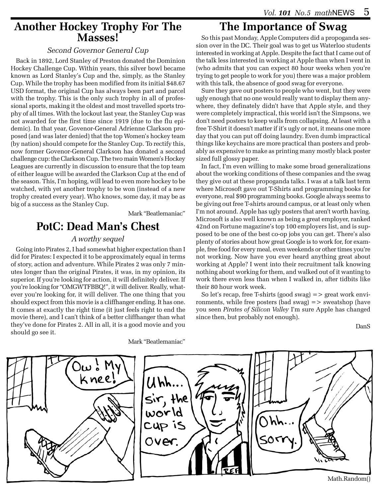### **Another Hockey Trophy For The Masses!**

#### *Second Governor General Cup*

Back in 1892, Lord Stanley of Preston donated the Dominion Hockey Challenge Cup. Within years, this silver bowl became known as Lord Stanley's Cup and the, simply, as the Stanley Cup. While the trophy has been modified from its initial \$48.67 USD format, the original Cup has always been part and parcel with the trophy. This is the only such trophy in all of professional sports, making it the oldest and most travelled sports trophy of all times. With the lockout last year, the Stanley Cup was not awarded for the first time since 1919 (due to the flu epidemic). In that year, Govenor-General Adrienne Clarkson proposed (and was later denied) that the top Women's hockey team (by nation) should compete for the Stanley Cup. To rectify this, now former Govenor-General Clarkson has donated a second challenge cup: the Clarkson Cup. The two main Women's Hockey Leagues are currently in discussion to ensure that the top team of either league will be awarded the Clarkson Cup at the end of the season. This, I'm hoping, will lead to even more hockey to be watched, with yet another trophy to be won (instead of a new trophy created every year). Who knows, some day, it may be as big of a success as the Stanley Cup.

Mark "Beatlemaniac"

# **PotC: Dead Man's Chest**

#### *A worthy sequel*

Going into Pirates 2, I had somewhat higher expectation than I did for Pirates: I expected it to be approximately equal in terms of story, action and adventure. While Pirates 2 was only 7 minutes longer than the original Pirates, it was, in my opinion, its superior. If you're looking for action, it will definitely deliver. If you're looking for "OMGWTFBBQ!", it will deliver. Really, whatever you're looking for, it will deliver. The one thing that you should expect from this movie is a cliffhanger ending. It has one. It comes at exactly the right time (it just feels right to end the movie there), and I can't think of a better cliffhanger than what they've done for Pirates 2. All in all, it is a good movie and you should go see it.

### **The Importance of Swag**

So this past Monday, Apple Computers did a propoganda session over in the DC. Their goal was to get us Waterloo students interested in working at Apple. Despite the fact that I came out of the talk less interested in working at Apple than when I went in (who admits that you can expect 80 hour weeks when you're trying to get people to work for you) there was a major problem with this talk, the absence of good swag for everyone.

Sure they gave out posters to people who went, but they were ugly enough that no one would really want to display them anywhere, they definately didn't have that Apple style, and they were completely impractical, this world isn't the Simpsons, we don't need posters to keep walls from collapsing. At least with a free T-Shirt it doesn't matter if it's ugly or not, it means one more day that you can put off doing laundry. Even dumb impractical things like keychains are more practical than posters and probably as expensive to make as printing many mostly black poster sized full glossy paper.

In fact, I'm even willing to make some broad generalizations about the working conditions of these companies and the swag they give out at these propoganda talks. I was at a talk last term where Microsoft gave out T-Shirts and programming books for everyone, real \$90 programming books. Google always seems to be giving out free T-shirts around campus, or at least only when I'm not around. Apple has ugly posters that aren't worth having. Microsoft is also well known as being a great employer, ranked 42nd on Fortune magazine's top 100 employers list, and is supposed to be one of the best co-op jobs you can get. There's also plenty of stories about how great Google is to work for, for example, free food for every meal, even weekends or other times you're not working. Now have you ever heard anything great about working at Apple? I went into their recruitment talk knowing nothing about working for them, and walked out of it wanting to work there even less than when I walked in, after tidbits like their 80 hour work week.

So let's recap, free T-shirts (good swag)  $\Rightarrow$  great work environments, while free posters (bad swag)  $\Rightarrow$  sweatshop (have you seen *Pirates of Silicon Valley* I'm sure Apple has changed since then, but probably not enough).

DanS



Mark "Beatlemaniac"